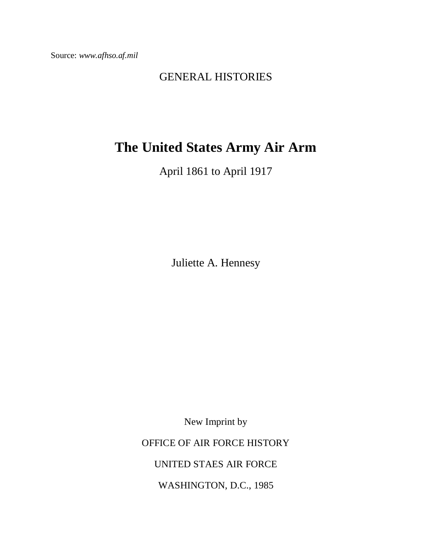Source: *www.afhso.af.mil*

## GENERAL HISTORIES

## **The United States Army Air Arm**

April 1861 to April 1917

Juliette A. Hennesy

New Imprint by

OFFICE OF AIR FORCE HISTORY

UNITED STAES AIR FORCE

WASHINGTON, D.C., 1985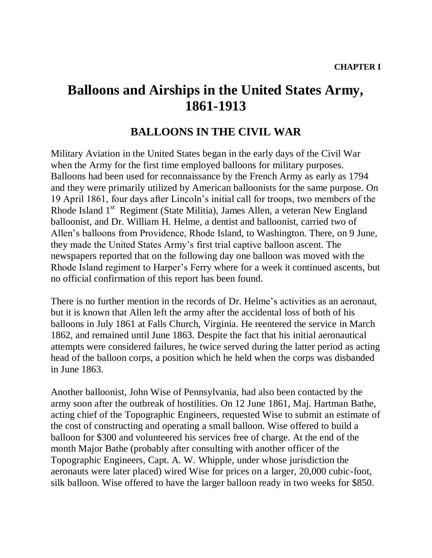## **Balloons and Airships in the United States Army, 1861-1913**

## **BALLOONS IN THE CIVIL WAR**

Military Aviation in the United States began in the early days of the Civil War when the Army for the first time employed balloons for military purposes. Balloons had been used for reconnaissance by the French Army as early as 1794 and they were primarily utilized by American balloonists for the same purpose. On 19 April 1861, four days after Lincoln's initial call for troops, two members of the Rhode Island 1<sup>st</sup> Regiment (State Militia), James Allen, a veteran New England balloonist, and Dr. William H. Helme, a dentist and balloonist, carried two of Allen's balloons from Providence, Rhode Island, to Washington. There, on 9 June, they made the United States Army's first trial captive balloon ascent. The newspapers reported that on the following day one balloon was moved with the Rhode Island regiment to Harper's Ferry where for a week it continued ascents, but no official confirmation of this report has been found.

There is no further mention in the records of Dr. Helme's activities as an aeronaut, but it is known that Allen left the army after the accidental loss of both of his balloons in July 1861 at Falls Church, Virginia. He reentered the service in March 1862, and remained until June 1863. Despite the fact that his initial aeronautical attempts were considered failures, he twice served during the latter period as acting head of the balloon corps, a position which he held when the corps was disbanded in June 1863.

Another balloonist, John Wise of Pennsylvania, had also been contacted by the army soon after the outbreak of hostilities. On 12 June 1861, Maj. Hartman Bathe, acting chief of the Topographic Engineers, requested Wise to submit an estimate of the cost of constructing and operating a small balloon. Wise offered to build a balloon for \$300 and volunteered his services free of charge. At the end of the month Major Bathe (probably after consulting with another officer of the Topographic Engineers, Capt. A. W. Whipple, under whose jurisdiction the aeronauts were later placed) wired Wise for prices on a larger, 20,000 cubic-foot, silk balloon. Wise offered to have the larger balloon ready in two weeks for \$850.